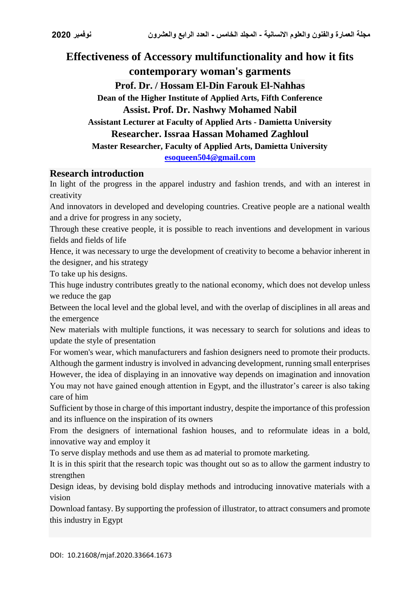# **Effectiveness of Accessory multifunctionality and how it fits contemporary woman's garments Prof. Dr. / Hossam El-Din Farouk El-Nahhas Dean of the Higher Institute of Applied Arts, Fifth Conference Assist. Prof. Dr. Nashwy Mohamed Nabil Assistant Lecturer at Faculty of Applied Arts - Damietta University Researcher. Issraa Hassan Mohamed Zaghloul Master Researcher, Faculty of Applied Arts, Damietta University [esoqueen504@gmail.com](mailto:esoqueen504@gmail.com)**

#### **Research introduction**

In light of the progress in the apparel industry and fashion trends, and with an interest in creativity

And innovators in developed and developing countries. Creative people are a national wealth and a drive for progress in any society,

Through these creative people, it is possible to reach inventions and development in various fields and fields of life

Hence, it was necessary to urge the development of creativity to become a behavior inherent in the designer, and his strategy

To take up his designs.

This huge industry contributes greatly to the national economy, which does not develop unless we reduce the gap

Between the local level and the global level, and with the overlap of disciplines in all areas and the emergence

New materials with multiple functions, it was necessary to search for solutions and ideas to update the style of presentation

For women's wear, which manufacturers and fashion designers need to promote their products. Although the garment industry is involved in advancing development, running small enterprises However, the idea of displaying in an innovative way depends on imagination and innovation You may not have gained enough attention in Egypt, and the illustrator's career is also taking care of him

Sufficient by those in charge of this important industry, despite the importance of this profession and its influence on the inspiration of its owners

From the designers of international fashion houses, and to reformulate ideas in a bold, innovative way and employ it

To serve display methods and use them as ad material to promote marketing.

It is in this spirit that the research topic was thought out so as to allow the garment industry to strengthen

Design ideas, by devising bold display methods and introducing innovative materials with a vision

Download fantasy. By supporting the profession of illustrator, to attract consumers and promote this industry in Egypt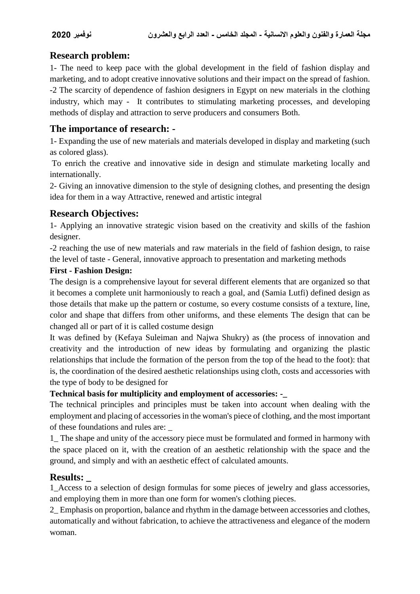# **Research problem:**

1- The need to keep pace with the global development in the field of fashion display and marketing, and to adopt creative innovative solutions and their impact on the spread of fashion. -2 The scarcity of dependence of fashion designers in Egypt on new materials in the clothing industry, which may - It contributes to stimulating marketing processes, and developing methods of display and attraction to serve producers and consumers Both.

# **The importance of research: -**

1- Expanding the use of new materials and materials developed in display and marketing (such as colored glass).

To enrich the creative and innovative side in design and stimulate marketing locally and internationally.

2- Giving an innovative dimension to the style of designing clothes, and presenting the design idea for them in a way Attractive, renewed and artistic integral

# **Research Objectives:**

1- Applying an innovative strategic vision based on the creativity and skills of the fashion designer.

-2 reaching the use of new materials and raw materials in the field of fashion design, to raise the level of taste - General, innovative approach to presentation and marketing methods

#### **First - Fashion Design:**

The design is a comprehensive layout for several different elements that are organized so that it becomes a complete unit harmoniously to reach a goal, and (Samia Lutfi) defined design as those details that make up the pattern or costume, so every costume consists of a texture, line, color and shape that differs from other uniforms, and these elements The design that can be changed all or part of it is called costume design

It was defined by (Kefaya Suleiman and Najwa Shukry) as (the process of innovation and creativity and the introduction of new ideas by formulating and organizing the plastic relationships that include the formation of the person from the top of the head to the foot): that is, the coordination of the desired aesthetic relationships using cloth, costs and accessories with the type of body to be designed for

#### **Technical basis for multiplicity and employment of accessories: -\_**

The technical principles and principles must be taken into account when dealing with the employment and placing of accessories in the woman's piece of clothing, and the most important of these foundations and rules are:

1\_ The shape and unity of the accessory piece must be formulated and formed in harmony with the space placed on it, with the creation of an aesthetic relationship with the space and the ground, and simply and with an aesthetic effect of calculated amounts.

### **Results: \_**

1\_Access to a selection of design formulas for some pieces of jewelry and glass accessories, and employing them in more than one form for women's clothing pieces.

2\_ Emphasis on proportion, balance and rhythm in the damage between accessories and clothes, automatically and without fabrication, to achieve the attractiveness and elegance of the modern woman.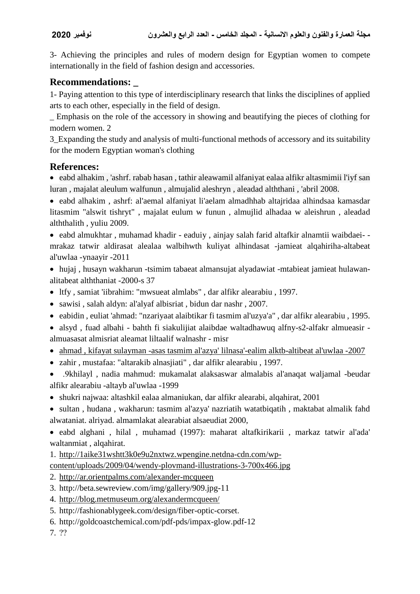3- Achieving the principles and rules of modern design for Egyptian women to compete internationally in the field of fashion design and accessories.

# **Recommendations: \_**

1- Paying attention to this type of interdisciplinary research that links the disciplines of applied arts to each other, especially in the field of design.

\_ Emphasis on the role of the accessory in showing and beautifying the pieces of clothing for modern women. 2

3\_Expanding the study and analysis of multi-functional methods of accessory and its suitability for the modern Egyptian woman's clothing

# **References:**

 eabd alhakim , 'ashrf. rabab hasan , tathir aleawamil alfaniyat ealaa alfikr altasmimii l'iyf san luran , majalat aleulum walfunun , almujalid aleshryn , aleadad alththani , 'abril 2008.

 eabd alhakim , ashrf: al'aemal alfaniyat li'aelam almadhhab altajridaa alhindsaa kamasdar litasmim "alswit tishryt" , majalat eulum w funun , almujlid alhadaa w aleishrun , aleadad alththalith , yuliu 2009.

 eabd almukhtar , muhamad khadir - eaduiy , ainjay salah farid altafkir alnamtii waibdaei- mrakaz tatwir aldirasat alealaa walbihwth kuliyat alhindasat -jamieat alqahiriha-altabeat al'uwlaa -ynaayir -2011

 hujaj , husayn wakharun -tsimim tabaeat almansujat alyadawiat -mtabieat jamieat hulawanalitabeat alththaniat -2000-s 37

- ltfy, samiat 'iibrahim: "mwsueat almlabs", dar alfikr alearabiu, 1997.
- sawisi , salah aldyn: al'alyaf albisriat , bidun dar nashr , 2007.
- eabidin , euliat 'ahmad: "nzariyaat alaibtikar fi tasmim al'uzya'a" , dar alfikr alearabiu , 1995.
- alsyd , fuad albahi bahth fi siakulijiat alaibdae waltadhawuq alfny-s2-alfakr almueasir almuasasat almisriat aleamat liltaalif walnashr - misr
- ahmad , kifayat sulayman -asas tasmim al'azya' lilnasa'-ealim alktb-altibeat al'uwlaa -2007
- zahir , mustafaa: "altarakib alnasjiati" , dar alfikr alearabiu , 1997.
- .9khilayl , nadia mahmud: mukamalat alaksaswar almalabis al'anaqat waljamal -beudar alfikr alearabiu -altayb al'uwlaa -1999
- shukri najwaa: altashkil ealaa almaniukan, dar alfikr alearabi, alqahirat, 2001
- sultan , hudana , wakharun: tasmim al'azya' nazriatih watatbiqatih , maktabat almalik fahd alwataniat. alriyad. almamlakat alearabiat alsaeudiat 2000,
- eabd alghani , hilal , muhamad (1997): maharat altafkirikarii , markaz tatwir al'ada' waltanmiat , alqahirat.
- 1. [http://1aike31wshtt3k0e9u2nxtwz.wpengine.netdna-cdn.com/wp-](http://1aike31wshtt3k0e9u2nxtwz.wpengine.netdna-cdn.com/wp-content/uploads/2009/04/wendy-plovmand-illustrations-3-700x466.jpg)
- [content/uploads/2009/04/wendy-plovmand-illustrations-3-700x466.jpg](http://1aike31wshtt3k0e9u2nxtwz.wpengine.netdna-cdn.com/wp-content/uploads/2009/04/wendy-plovmand-illustrations-3-700x466.jpg)
- 2. <http://ar.orientpalms.com/alexander-mcqueen>
- 3. http://beta.sewreview.com/img/gallery/909.jpg-11
- 4. <http://blog.metmuseum.org/alexandermcqueen/>
- 5. http://fashionablygeek.com/design/fiber-optic-corset.
- 6. http://goldcoastchemical.com/pdf-pds/impax-glow.pdf-12

7. ??